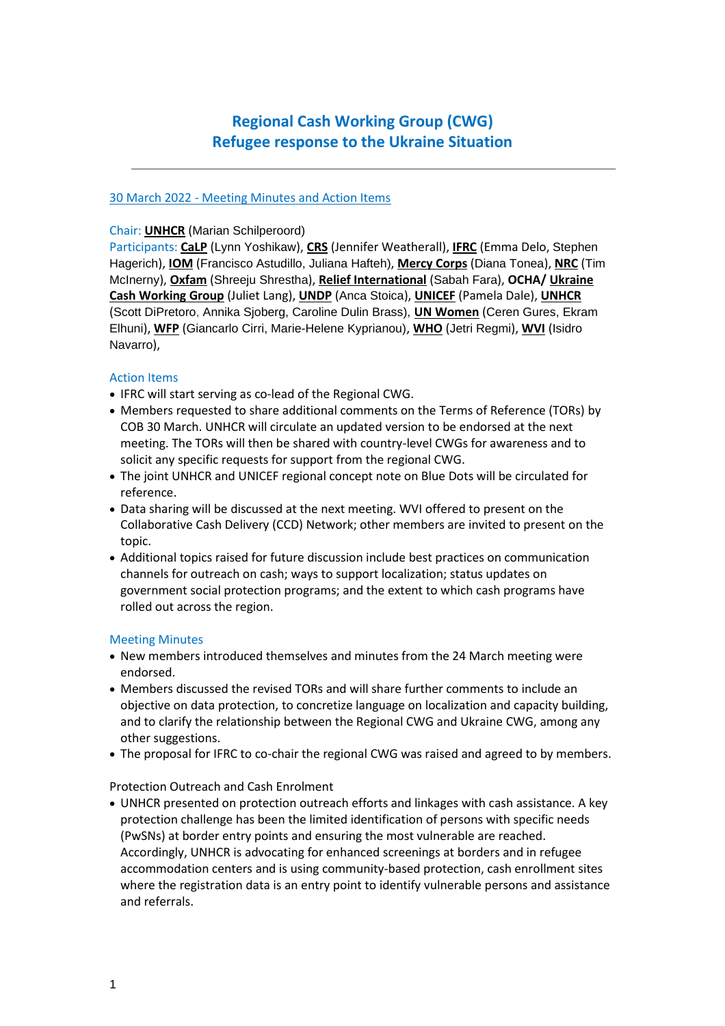# **Regional Cash Working Group (CWG) Refugee response to the Ukraine Situation**

## 30 March 2022 - Meeting Minutes and Action Items

## Chair: **UNHCR** (Marian Schilperoord)

Participants: **CaLP** (Lynn Yoshikaw), **CRS** (Jennifer Weatherall), **IFRC** (Emma Delo, Stephen Hagerich), **IOM** (Francisco Astudillo, Juliana Hafteh), **Mercy Corps** (Diana Tonea), **NRC** (Tim McInerny), **Oxfam** (Shreeju Shrestha), **Relief International** (Sabah Fara), **OCHA/ Ukraine Cash Working Group** (Juliet Lang), **UNDP** (Anca Stoica), **UNICEF** (Pamela Dale), **UNHCR** (Scott DiPretoro, Annika Sjoberg, Caroline Dulin Brass), **UN Women** (Ceren Gures, Ekram Elhuni), **WFP** (Giancarlo Cirri, Marie-Helene Kyprianou), **WHO** (Jetri Regmi), **WVI** (Isidro Navarro),

## Action Items

- IFRC will start serving as co-lead of the Regional CWG.
- Members requested to share additional comments on the Terms of Reference (TORs) by COB 30 March. UNHCR will circulate an updated version to be endorsed at the next meeting. The TORs will then be shared with country-level CWGs for awareness and to solicit any specific requests for support from the regional CWG.
- The joint UNHCR and UNICEF regional concept note on Blue Dots will be circulated for reference.
- Data sharing will be discussed at the next meeting. WVI offered to present on the Collaborative Cash Delivery (CCD) Network; other members are invited to present on the topic.
- Additional topics raised for future discussion include best practices on communication channels for outreach on cash; ways to support localization; status updates on government social protection programs; and the extent to which cash programs have rolled out across the region.

#### Meeting Minutes

- New members introduced themselves and minutes from the 24 March meeting were endorsed.
- Members discussed the revised TORs and will share further comments to include an objective on data protection, to concretize language on localization and capacity building, and to clarify the relationship between the Regional CWG and Ukraine CWG, among any other suggestions.
- The proposal for IFRC to co-chair the regional CWG was raised and agreed to by members.

Protection Outreach and Cash Enrolment

• UNHCR presented on protection outreach efforts and linkages with cash assistance. A key protection challenge has been the limited identification of persons with specific needs (PwSNs) at border entry points and ensuring the most vulnerable are reached. Accordingly, UNHCR is advocating for enhanced screenings at borders and in refugee accommodation centers and is using community-based protection, cash enrollment sites where the registration data is an entry point to identify vulnerable persons and assistance and referrals.